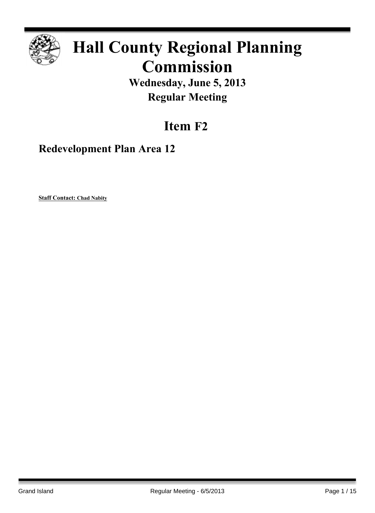

# **Hall County Regional Planning Commission**

**Wednesday, June 5, 2013 Regular Meeting**

## **Item F2**

**Redevelopment Plan Area 12**

**Staff Contact: Chad Nabity**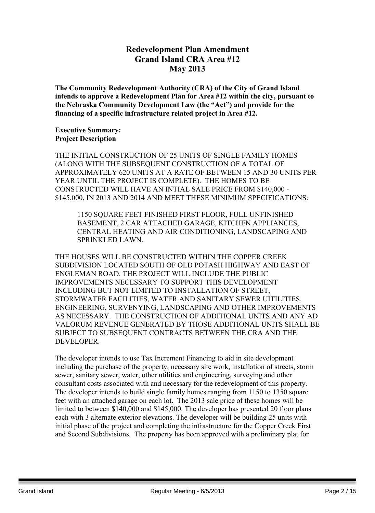## **Redevelopment Plan Amendment Grand Island CRA Area #12 May 2013**

**The Community Redevelopment Authority (CRA) of the City of Grand Island intends to approve a Redevelopment Plan for Area #12 within the city, pursuant to the Nebraska Community Development Law (the "Act") and provide for the financing of a specific infrastructure related project in Area #12.**

#### **Executive Summary: Project Description**

THE INITIAL CONSTRUCTION OF 25 UNITS OF SINGLE FAMILY HOMES (ALONG WITH THE SUBSEQUENT CONSTRUCTION OF A TOTAL OF APPROXIMATELY 620 UNITS AT A RATE OF BETWEEN 15 AND 30 UNITS PER YEAR UNTIL THE PROJECT IS COMPLETE). THE HOMES TO BE CONSTRUCTED WILL HAVE AN INTIAL SALE PRICE FROM \$140,000 - \$145,000, IN 2013 AND 2014 AND MEET THESE MINIMUM SPECIFICATIONS:

1150 SQUARE FEET FINISHED FIRST FLOOR, FULL UNFINISHED BASEMENT, 2 CAR ATTACHED GARAGE, KITCHEN APPLIANCES, CENTRAL HEATING AND AIR CONDITIONING, LANDSCAPING AND SPRINKLED LAWN.

THE HOUSES WILL BE CONSTRUCTED WITHIN THE COPPER CREEK SUBDIVISION LOCATED SOUTH OF OLD POTASH HIGHWAY AND EAST OF ENGLEMAN ROAD. THE PROJECT WILL INCLUDE THE PUBLIC IMPROVEMENTS NECESSARY TO SUPPORT THIS DEVELOPMENT INCLUDING BUT NOT LIMITED TO INSTALLATION OF STREET, STORMWATER FACILITIES, WATER AND SANITARY SEWER UITILITIES, ENGINEERING, SURVENYING, LANDSCAPING AND OTHER IMPROVEMENTS AS NECESSARY. THE CONSTRUCTION OF ADDITIONAL UNITS AND ANY AD VALORUM REVENUE GENERATED BY THOSE ADDITIONAL UNITS SHALL BE SUBJECT TO SUBSEQUENT CONTRACTS BETWEEN THE CRA AND THE DEVELOPER.

The developer intends to use Tax Increment Financing to aid in site development including the purchase of the property, necessary site work, installation of streets, storm sewer, sanitary sewer, water, other utilities and engineering, surveying and other consultant costs associated with and necessary for the redevelopment of this property. The developer intends to build single family homes ranging from 1150 to 1350 square feet with an attached garage on each lot. The 2013 sale price of these homes will be limited to between \$140,000 and \$145,000. The developer has presented 20 floor plans each with 3 alternate exterior elevations. The developer will be building 25 units with initial phase of the project and completing the infrastructure for the Copper Creek First and Second Subdivisions. The property has been approved with a preliminary plat for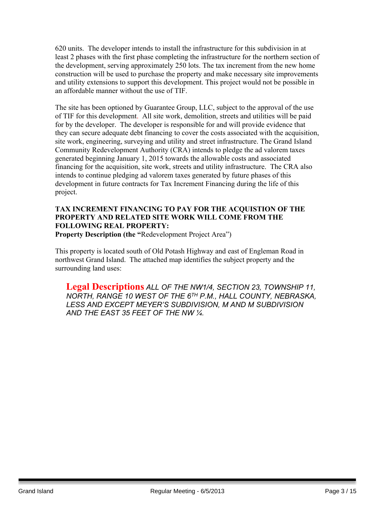620 units. The developer intends to install the infrastructure for this subdivision in at least 2 phases with the first phase completing the infrastructure for the northern section of the development, serving approximately 250 lots. The tax increment from the new home construction will be used to purchase the property and make necessary site improvements and utility extensions to support this development. This project would not be possible in an affordable manner without the use of TIF.

The site has been optioned by Guarantee Group, LLC, subject to the approval of the use of TIF for this development. All site work, demolition, streets and utilities will be paid for by the developer. The developer is responsible for and will provide evidence that they can secure adequate debt financing to cover the costs associated with the acquisition, site work, engineering, surveying and utility and street infrastructure. The Grand Island Community Redevelopment Authority (CRA) intends to pledge the ad valorem taxes generated beginning January 1, 2015 towards the allowable costs and associated financing for the acquisition, site work, streets and utility infrastructure. The CRA also intends to continue pledging ad valorem taxes generated by future phases of this development in future contracts for Tax Increment Financing during the life of this project.

## **TAX INCREMENT FINANCING TO PAY FOR THE ACQUISTION OF THE PROPERTY AND RELATED SITE WORK WILL COME FROM THE FOLLOWING REAL PROPERTY:**

**Property Description (the "**Redevelopment Project Area")

This property is located south of Old Potash Highway and east of Engleman Road in northwest Grand Island. The attached map identifies the subject property and the surrounding land uses:

**Legal Descriptions** *ALL OF THE NW1/4, SECTION 23, TOWNSHIP 11, NORTH, RANGE 10 WEST OF THE 6 TH P.M., HALL COUNTY, NEBRASKA, LESS AND EXCEPT MEYER'S SUBDIVISION, M AND M SUBDIVISION AND THE EAST 35 FEET OF THE NW ¼.*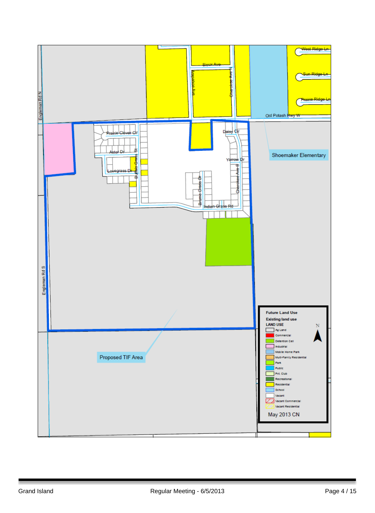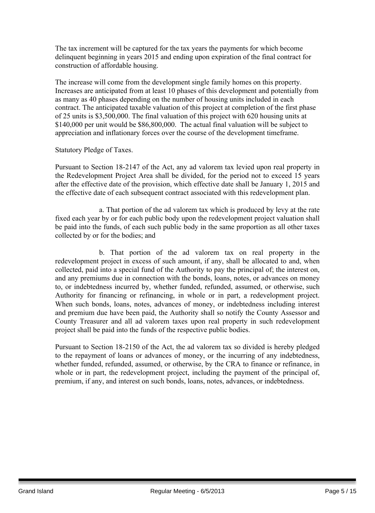The tax increment will be captured for the tax years the payments for which become delinquent beginning in years 2015 and ending upon expiration of the final contract for construction of affordable housing.

The increase will come from the development single family homes on this property. Increases are anticipated from at least 10 phases of this development and potentially from as many as 40 phases depending on the number of housing units included in each contract. The anticipated taxable valuation of this project at completion of the first phase of 25 units is \$3,500,000. The final valuation of this project with 620 housing units at \$140,000 per unit would be \$86,800,000. The actual final valuation will be subject to appreciation and inflationary forces over the course of the development timeframe.

Statutory Pledge of Taxes.

Pursuant to Section 18-2147 of the Act, any ad valorem tax levied upon real property in the Redevelopment Project Area shall be divided, for the period not to exceed 15 years after the effective date of the provision, which effective date shall be January 1, 2015 and the effective date of each subsequent contract associated with this redevelopment plan.

a. That portion of the ad valorem tax which is produced by levy at the rate fixed each year by or for each public body upon the redevelopment project valuation shall be paid into the funds, of each such public body in the same proportion as all other taxes collected by or for the bodies; and

b. That portion of the ad valorem tax on real property in the redevelopment project in excess of such amount, if any, shall be allocated to and, when collected, paid into a special fund of the Authority to pay the principal of; the interest on, and any premiums due in connection with the bonds, loans, notes, or advances on money to, or indebtedness incurred by, whether funded, refunded, assumed, or otherwise, such Authority for financing or refinancing, in whole or in part, a redevelopment project. When such bonds, loans, notes, advances of money, or indebtedness including interest and premium due have been paid, the Authority shall so notify the County Assessor and County Treasurer and all ad valorem taxes upon real property in such redevelopment project shall be paid into the funds of the respective public bodies.

Pursuant to Section 18-2150 of the Act, the ad valorem tax so divided is hereby pledged to the repayment of loans or advances of money, or the incurring of any indebtedness, whether funded, refunded, assumed, or otherwise, by the CRA to finance or refinance, in whole or in part, the redevelopment project, including the payment of the principal of, premium, if any, and interest on such bonds, loans, notes, advances, or indebtedness.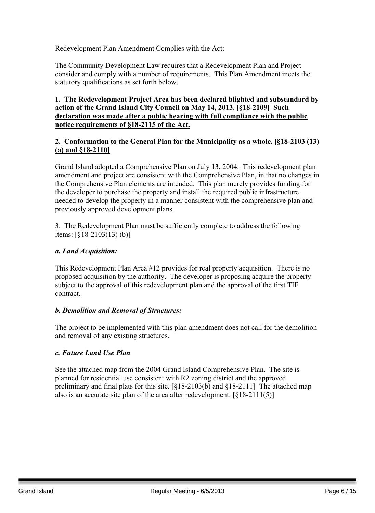Redevelopment Plan Amendment Complies with the Act:

The Community Development Law requires that a Redevelopment Plan and Project consider and comply with a number of requirements. This Plan Amendment meets the statutory qualifications as set forth below.

#### **1. The Redevelopment Project Area has been declared blighted and substandard by action of the Grand Island City Council on May 14, 2013. [§18-2109] Such declaration was made after a public hearing with full compliance with the public notice requirements of §18-2115 of the Act.**

#### **2. Conformation to the General Plan for the Municipality as a whole. [§18-2103 (13) (a) and §18-2110]**

Grand Island adopted a Comprehensive Plan on July 13, 2004. This redevelopment plan amendment and project are consistent with the Comprehensive Plan, in that no changes in the Comprehensive Plan elements are intended. This plan merely provides funding for the developer to purchase the property and install the required public infrastructure needed to develop the property in a manner consistent with the comprehensive plan and previously approved development plans.

3. The Redevelopment Plan must be sufficiently complete to address the following items: [§18-2103(13) (b)]

#### *a. Land Acquisition:*

This Redevelopment Plan Area #12 provides for real property acquisition. There is no proposed acquisition by the authority. The developer is proposing acquire the property subject to the approval of this redevelopment plan and the approval of the first TIF contract.

#### *b. Demolition and Removal of Structures:*

The project to be implemented with this plan amendment does not call for the demolition and removal of any existing structures.

#### *c. Future Land Use Plan*

See the attached map from the 2004 Grand Island Comprehensive Plan. The site is planned for residential use consistent with R2 zoning district and the approved preliminary and final plats for this site. [§18-2103(b) and §18-2111] The attached map also is an accurate site plan of the area after redevelopment. [§18-2111(5)]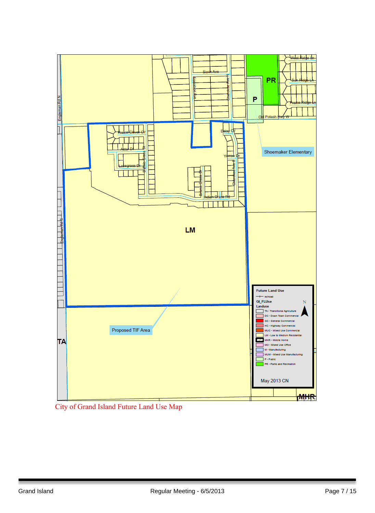

City of Grand Island Future Land Use Map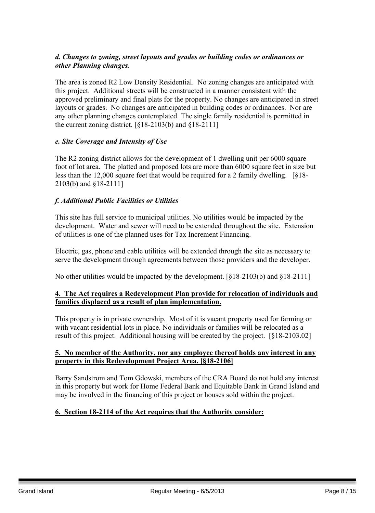#### *d. Changes to zoning, street layouts and grades or building codes or ordinances or other Planning changes.*

The area is zoned R2 Low Density Residential. No zoning changes are anticipated with this project. Additional streets will be constructed in a manner consistent with the approved preliminary and final plats for the property. No changes are anticipated in street layouts or grades. No changes are anticipated in building codes or ordinances. Nor are any other planning changes contemplated. The single family residential is permitted in the current zoning district.  $\lceil \xi \cdot 18 - 2103 \cdot (b) \rangle$  and  $\lceil \xi \cdot 18 - 2111 \rceil$ 

#### *e. Site Coverage and Intensity of Use*

The R2 zoning district allows for the development of 1 dwelling unit per 6000 square foot of lot area. The platted and proposed lots are more than 6000 square feet in size but less than the 12,000 square feet that would be required for a 2 family dwelling. [§18- 2103(b) and §18-2111]

## *f. Additional Public Facilities or Utilities*

This site has full service to municipal utilities. No utilities would be impacted by the development. Water and sewer will need to be extended throughout the site. Extension of utilities is one of the planned uses for Tax Increment Financing.

Electric, gas, phone and cable utilities will be extended through the site as necessary to serve the development through agreements between those providers and the developer.

No other utilities would be impacted by the development. [§18-2103(b) and §18-2111]

#### **4. The Act requires a Redevelopment Plan provide for relocation of individuals and families displaced as a result of plan implementation.**

This property is in private ownership. Most of it is vacant property used for farming or with vacant residential lots in place. No individuals or families will be relocated as a result of this project. Additional housing will be created by the project. [§18-2103.02]

#### **5. No member of the Authority, nor any employee thereof holds any interest in any property in this Redevelopment Project Area. [§18-2106]**

Barry Sandstrom and Tom Gdowski, members of the CRA Board do not hold any interest in this property but work for Home Federal Bank and Equitable Bank in Grand Island and may be involved in the financing of this project or houses sold within the project.

#### **6. Section 18-2114 of the Act requires that the Authority consider:**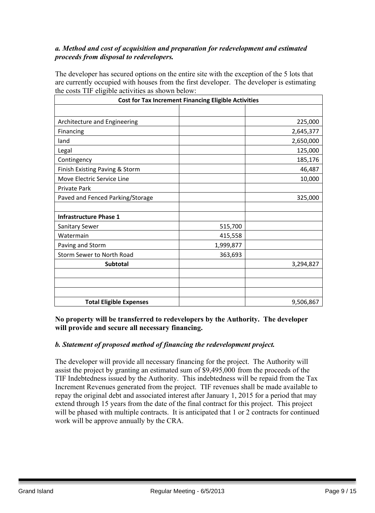#### *a. Method and cost of acquisition and preparation for redevelopment and estimated proceeds from disposal to redevelopers.*

The developer has secured options on the entire site with the exception of the 5 lots that are currently occupied with houses from the first developer. The developer is estimating the costs TIF eligible activities as shown below:

| <b>Cost for Tax Increment Financing Eligible Activities</b> |           |           |
|-------------------------------------------------------------|-----------|-----------|
|                                                             |           |           |
| Architecture and Engineering                                |           | 225,000   |
| Financing                                                   |           | 2,645,377 |
| land                                                        |           | 2,650,000 |
| Legal                                                       |           | 125,000   |
| Contingency                                                 |           | 185,176   |
| Finish Existing Paving & Storm                              |           | 46,487    |
| Move Electric Service Line                                  |           | 10,000    |
| <b>Private Park</b>                                         |           |           |
| Paved and Fenced Parking/Storage                            |           | 325,000   |
|                                                             |           |           |
| <b>Infrastructure Phase 1</b>                               |           |           |
| <b>Sanitary Sewer</b>                                       | 515,700   |           |
| Watermain                                                   | 415,558   |           |
| Paving and Storm                                            | 1,999,877 |           |
| Storm Sewer to North Road                                   | 363,693   |           |
| <b>Subtotal</b>                                             |           | 3,294,827 |
|                                                             |           |           |
|                                                             |           |           |
|                                                             |           |           |
| <b>Total Eligible Expenses</b>                              |           | 9,506,867 |

**No property will be transferred to redevelopers by the Authority. The developer will provide and secure all necessary financing.**

## *b. Statement of proposed method of financing the redevelopment project.*

The developer will provide all necessary financing for the project. The Authority will assist the project by granting an estimated sum of \$9,495,000 from the proceeds of the TIF Indebtedness issued by the Authority. This indebtedness will be repaid from the Tax Increment Revenues generated from the project. TIF revenues shall be made available to repay the original debt and associated interest after January 1, 2015 for a period that may extend through 15 years from the date of the final contract for this project. This project will be phased with multiple contracts. It is anticipated that 1 or 2 contracts for continued work will be approve annually by the CRA.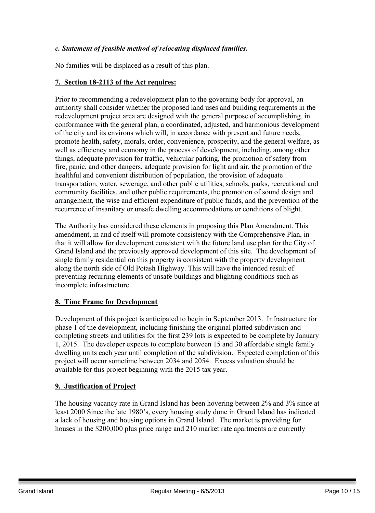#### *c. Statement of feasible method of relocating displaced families.*

No families will be displaced as a result of this plan.

#### **7. Section 18-2113 of the Act requires:**

Prior to recommending a redevelopment plan to the governing body for approval, an authority shall consider whether the proposed land uses and building requirements in the redevelopment project area are designed with the general purpose of accomplishing, in conformance with the general plan, a coordinated, adjusted, and harmonious development of the city and its environs which will, in accordance with present and future needs, promote health, safety, morals, order, convenience, prosperity, and the general welfare, as well as efficiency and economy in the process of development, including, among other things, adequate provision for traffic, vehicular parking, the promotion of safety from fire, panic, and other dangers, adequate provision for light and air, the promotion of the healthful and convenient distribution of population, the provision of adequate transportation, water, sewerage, and other public utilities, schools, parks, recreational and community facilities, and other public requirements, the promotion of sound design and arrangement, the wise and efficient expenditure of public funds, and the prevention of the recurrence of insanitary or unsafe dwelling accommodations or conditions of blight.

The Authority has considered these elements in proposing this Plan Amendment. This amendment, in and of itself will promote consistency with the Comprehensive Plan, in that it will allow for development consistent with the future land use plan for the City of Grand Island and the previously approved development of this site. The development of single family residential on this property is consistent with the property development along the north side of Old Potash Highway. This will have the intended result of preventing recurring elements of unsafe buildings and blighting conditions such as incomplete infrastructure.

#### **8. Time Frame for Development**

Development of this project is anticipated to begin in September 2013. Infrastructure for phase 1 of the development, including finishing the original platted subdivision and completing streets and utilities for the first 239 lots is expected to be complete by January 1, 2015. The developer expects to complete between 15 and 30 affordable single family dwelling units each year until completion of the subdivision. Expected completion of this project will occur sometime between 2034 and 2054. Excess valuation should be available for this project beginning with the 2015 tax year.

#### **9. Justification of Project**

The housing vacancy rate in Grand Island has been hovering between 2% and 3% since at least 2000 Since the late 1980's, every housing study done in Grand Island has indicated a lack of housing and housing options in Grand Island. The market is providing for houses in the \$200,000 plus price range and 210 market rate apartments are currently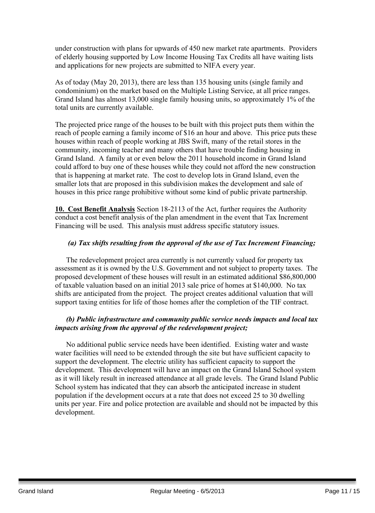under construction with plans for upwards of 450 new market rate apartments. Providers of elderly housing supported by Low Income Housing Tax Credits all have waiting lists and applications for new projects are submitted to NIFA every year.

As of today (May 20, 2013), there are less than 135 housing units (single family and condominium) on the market based on the Multiple Listing Service, at all price ranges. Grand Island has almost 13,000 single family housing units, so approximately 1% of the total units are currently available.

The projected price range of the houses to be built with this project puts them within the reach of people earning a family income of \$16 an hour and above. This price puts these houses within reach of people working at JBS Swift, many of the retail stores in the community, incoming teacher and many others that have trouble finding housing in Grand Island. A family at or even below the 2011 household income in Grand Island could afford to buy one of these houses while they could not afford the new construction that is happening at market rate. The cost to develop lots in Grand Island, even the smaller lots that are proposed in this subdivision makes the development and sale of houses in this price range prohibitive without some kind of public private partnership.

**10. Cost Benefit Analysis** Section 18-2113 of the Act, further requires the Authority conduct a cost benefit analysis of the plan amendment in the event that Tax Increment Financing will be used. This analysis must address specific statutory issues.

#### *(a) Tax shifts resulting from the approval of the use of Tax Increment Financing;*

The redevelopment project area currently is not currently valued for property tax assessment as it is owned by the U.S. Government and not subject to property taxes. The proposed development of these houses will result in an estimated additional \$86,800,000 of taxable valuation based on an initial 2013 sale price of homes at \$140,000. No tax shifts are anticipated from the project. The project creates additional valuation that will support taxing entities for life of those homes after the completion of the TIF contract.

#### *(b) Public infrastructure and community public service needs impacts and local tax impacts arising from the approval of the redevelopment project;*

No additional public service needs have been identified. Existing water and waste water facilities will need to be extended through the site but have sufficient capacity to support the development. The electric utility has sufficient capacity to support the development. This development will have an impact on the Grand Island School system as it will likely result in increased attendance at all grade levels. The Grand Island Public School system has indicated that they can absorb the anticipated increase in student population if the development occurs at a rate that does not exceed 25 to 30 dwelling units per year. Fire and police protection are available and should not be impacted by this development.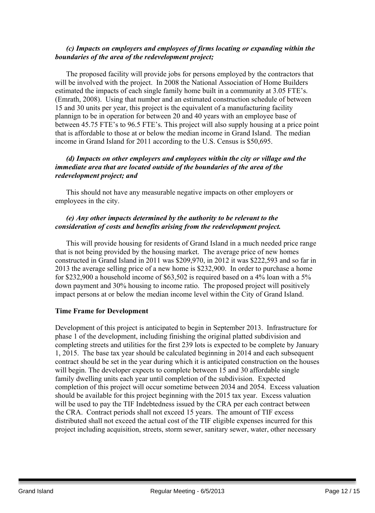#### *(c) Impacts on employers and employees of firms locating or expanding within the boundaries of the area of the redevelopment project;*

The proposed facility will provide jobs for persons employed by the contractors that will be involved with the project. In 2008 the National Association of Home Builders estimated the impacts of each single family home built in a community at 3.05 FTE's. (Emrath, 2008). Using that number and an estimated construction schedule of between 15 and 30 units per year, this project is the equivalent of a manufacturing facility plannign to be in operation for between 20 and 40 years with an employee base of between 45.75 FTE's to 96.5 FTE's. This project will also supply housing at a price point that is affordable to those at or below the median income in Grand Island. The median income in Grand Island for 2011 according to the U.S. Census is \$50,695.

#### *(d) Impacts on other employers and employees within the city or village and the immediate area that are located outside of the boundaries of the area of the redevelopment project; and*

This should not have any measurable negative impacts on other employers or employees in the city.

#### *(e) Any other impacts determined by the authority to be relevant to the consideration of costs and benefits arising from the redevelopment project.*

This will provide housing for residents of Grand Island in a much needed price range that is not being provided by the housing market. The average price of new homes constructed in Grand Island in 2011 was \$209,970, in 2012 it was \$222,593 and so far in 2013 the average selling price of a new home is \$232,900. In order to purchase a home for \$232,900 a household income of \$63,502 is required based on a 4% loan with a 5% down payment and 30% housing to income ratio. The proposed project will positively impact persons at or below the median income level within the City of Grand Island.

#### **Time Frame for Development**

Development of this project is anticipated to begin in September 2013. Infrastructure for phase 1 of the development, including finishing the original platted subdivision and completing streets and utilities for the first 239 lots is expected to be complete by January 1, 2015. The base tax year should be calculated beginning in 2014 and each subsequent contract should be set in the year during which it is anticipated construction on the houses will begin. The developer expects to complete between 15 and 30 affordable single family dwelling units each year until completion of the subdivision. Expected completion of this project will occur sometime between 2034 and 2054. Excess valuation should be available for this project beginning with the 2015 tax year. Excess valuation will be used to pay the TIF Indebtedness issued by the CRA per each contract between the CRA. Contract periods shall not exceed 15 years. The amount of TIF excess distributed shall not exceed the actual cost of the TIF eligible expenses incurred for this project including acquisition, streets, storm sewer, sanitary sewer, water, other necessary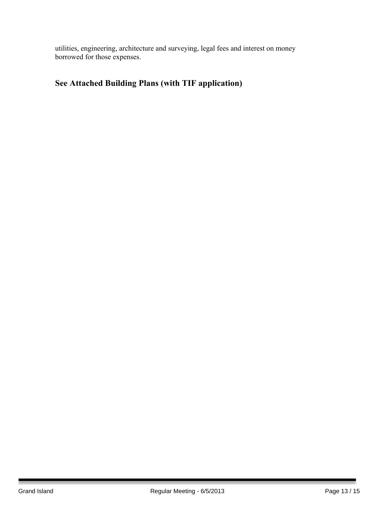utilities, engineering, architecture and surveying, legal fees and interest on money borrowed for those expenses.

## **See Attached Building Plans (with TIF application)**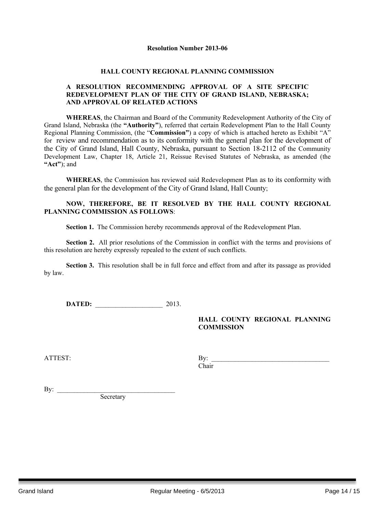#### **Resolution Number 2013-06**

#### **HALL COUNTY REGIONAL PLANNING COMMISSION**

#### **A RESOLUTION RECOMMENDING APPROVAL OF A SITE SPECIFIC REDEVELOPMENT PLAN OF THE CITY OF GRAND ISLAND, NEBRASKA; AND APPROVAL OF RELATED ACTIONS**

**WHEREAS**, the Chairman and Board of the Community Redevelopment Authority of the City of Grand Island, Nebraska (the **"Authority"**), referred that certain Redevelopment Plan to the Hall County Regional Planning Commission, (the "**Commission"**) a copy of which is attached hereto as Exhibit "A" for review and recommendation as to its conformity with the general plan for the development of the City of Grand Island, Hall County, Nebraska, pursuant to Section 18-2112 of the Community Development Law, Chapter 18, Article 21, Reissue Revised Statutes of Nebraska, as amended (the **"Act"**); and

**WHEREAS**, the Commission has reviewed said Redevelopment Plan as to its conformity with the general plan for the development of the City of Grand Island, Hall County;

#### **NOW, THEREFORE, BE IT RESOLVED BY THE HALL COUNTY REGIONAL PLANNING COMMISSION AS FOLLOWS**:

**Section 1.** The Commission hereby recommends approval of the Redevelopment Plan.

**Section 2.** All prior resolutions of the Commission in conflict with the terms and provisions of this resolution are hereby expressly repealed to the extent of such conflicts.

**Section 3.** This resolution shall be in full force and effect from and after its passage as provided by law.

**DATED:** 2013.

#### **HALL COUNTY REGIONAL PLANNING COMMISSION**

| $\sim$ $\sim$<br>Δ<br>$\sim$ 2 $\sim$<br>ີ | .<br>. .    |
|--------------------------------------------|-------------|
|                                            | ~·<br>hair! |

By:  $\frac{\text{c}}{\text{c}}$ **Secretary**